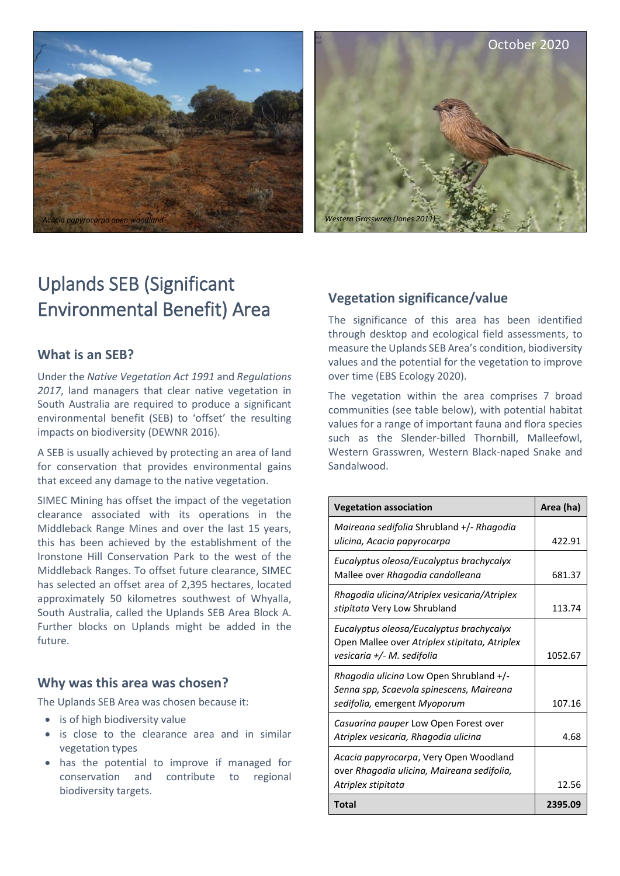



# Uplands SEB (Significant Environmental Benefit) Area

#### **What is an SEB?**

Under the *Native Vegetation Act 1991* and *Regulations 2017*, land managers that clear native vegetation in South Australia are required to produce a significant environmental benefit (SEB) to 'offset' the resulting impacts on biodiversity (DEWNR 2016).

A SEB is usually achieved by protecting an area of land for conservation that provides environmental gains that exceed any damage to the native vegetation.

SIMEC Mining has offset the impact of the vegetation clearance associated with its operations in the Middleback Range Mines and over the last 15 years, this has been achieved by the establishment of the Ironstone Hill Conservation Park to the west of the Middleback Ranges. To offset future clearance, SIMEC has selected an offset area of 2,395 hectares, located approximately 50 kilometres southwest of Whyalla, South Australia, called the Uplands SEB Area Block A. Further blocks on Uplands might be added in the future.

#### **Why was this area was chosen?**

The Uplands SEB Area was chosen because it:

- is of high biodiversity value
- is close to the clearance area and in similar vegetation types
- has the potential to improve if managed for conservation and contribute to regional biodiversity targets.

# **Vegetation significance/value**

The significance of this area has been identified through desktop and ecological field assessments, to measure the Uplands SEB Area's condition, biodiversity values and the potential for the vegetation to improve over time (EBS Ecology 2020).

The vegetation within the area comprises 7 broad communities (see table below), with potential habitat values for a range of important fauna and flora species such as the Slender-billed Thornbill, Malleefowl, Western Grasswren, Western Black-naped Snake and Sandalwood.

| <b>Vegetation association</b>                                                                                           | Area (ha) |
|-------------------------------------------------------------------------------------------------------------------------|-----------|
| Maireana sedifolia Shrubland +/- Rhagodia<br>ulicina, Acacia papyrocarpa                                                | 422.91    |
| Eucalyptus oleosa/Eucalyptus brachycalyx<br>Mallee over Rhagodia candolleana                                            | 681.37    |
| Rhagodia ulicina/Atriplex vesicaria/Atriplex<br>stipitata Very Low Shrubland                                            | 113.74    |
| Eucalyptus oleosa/Eucalyptus brachycalyx<br>Open Mallee over Atriplex stipitata, Atriplex<br>vesicaria +/- M. sedifolia | 1052.67   |
| Rhagodia ulicina Low Open Shrubland +/-<br>Senna spp, Scaevola spinescens, Maireana<br>sedifolia, emergent Myoporum     | 107.16    |
| Casuarina pauper Low Open Forest over<br>Atriplex vesicaria, Rhagodia ulicina                                           | 4.68      |
| Acacia papyrocarpa, Very Open Woodland<br>over Rhagodia ulicina, Maireana sedifolia,<br>Atriplex stipitata              | 12.56     |
| <b>Total</b>                                                                                                            | 2395.09   |